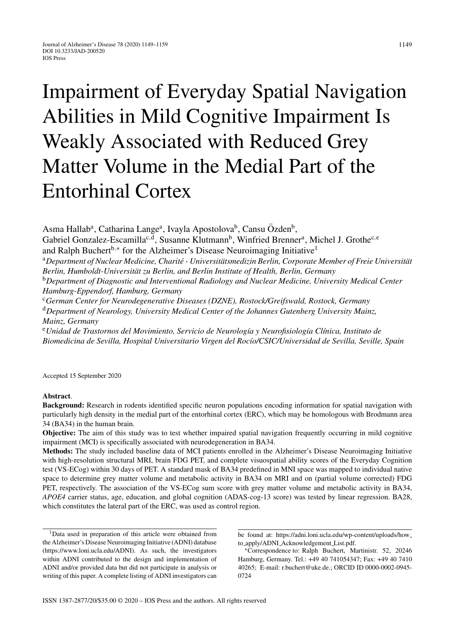# Impairment of Everyday Spatial Navigation Abilities in Mild Cognitive Impairment Is Weakly Associated with Reduced Grey Matter Volume in the Medial Part of the Entorhinal Cortex

Asma Hallab<sup>a</sup>, Catharina Lange<sup>a</sup>, Ivayla Apostolova<sup>b</sup>, Cansu Özden<sup>b</sup>, Gabriel Gonzalez-Escamilla<sup>c,d</sup>, Susanne Klutmann<sup>b</sup>, Winfried Brenner<sup>a</sup>, Michel J. Grothe<sup>c,e</sup> and Ralph Buchert<sup>b,∗</sup> for the Alzheimer's Disease Neuroimaging Initiative<sup>1</sup> <sup>a</sup>Department of Nuclear Medicine, Charité - Universitätsmedizin Berlin, Corporate Member of Freie Universität Berlin, Humboldt-Universität zu Berlin, and Berlin Institute of Health, Berlin, Germany <sup>b</sup>*Department of Diagnostic and Interventional Radiology and Nuclear Medicine, University Medical Center Hamburg-Eppendorf, Hamburg, Germany* <sup>c</sup>*German Center for Neurodegenerative Diseases (DZNE), Rostock/Greifswald, Rostock, Germany* <sup>d</sup>*Department of Neurology, University Medical Center of the Johannes Gutenberg University Mainz, Mainz, Germany* <sup>e</sup>*Unidad de Trastornos del Movimiento, Servicio de Neurolog´ıa y Neurofisiolog´ıa Cl´ınica, Instituto de Biomedicina de Sevilla, Hospital Universitario Virgen del Roc´ıo/CSIC/Universidad de Sevilla, Seville, Spain*

Accepted 15 September 2020

## **Abstract**.

**Background:** Research in rodents identified specific neuron populations encoding information for spatial navigation with particularly high density in the medial part of the entorhinal cortex (ERC), which may be homologous with Brodmann area 34 (BA34) in the human brain.

**Objective:** The aim of this study was to test whether impaired spatial navigation frequently occurring in mild cognitive impairment (MCI) is specifically associated with neurodegeneration in BA34.

**Methods:** The study included baseline data of MCI patients enrolled in the Alzheimer's Disease Neuroimaging Initiative with high-resolution structural MRI, brain FDG PET, and complete visuospatial ability scores of the Everyday Cognition test (VS-ECog) within 30 days of PET. A standard mask of BA34 predefined in MNI space was mapped to individual native space to determine grey matter volume and metabolic activity in BA34 on MRI and on (partial volume corrected) FDG PET, respectively. The association of the VS-ECog sum score with grey matter volume and metabolic activity in BA34, *APOE4* carrier status, age, education, and global cognition (ADAS-cog-13 score) was tested by linear regression. BA28, which constitutes the lateral part of the ERC, was used as control region.

1Data used in preparation of this article were obtained from the Alzheimer's Disease Neuroimaging Initiative (ADNI) database ([https://www.loni.ucla.edu/ADNI\)](https://www.loni.ucla.edu/ADNI). As such, the investigators within ADNI contributed to the design and implementation of ADNI and/or provided data but did not participate in analysis or writing of this paper. A complete listing of ADNI investigators can be found at: [https://adni.loni.ucla.edu/wp-content/uploads/how](https://adni.loni.ucla.edu/wp-content/uploads/how_to_apply/ADNI_Acknowledgement_List.pdf) to apply/ADNI Acknowledgement List.pdf.

<sup>∗</sup>Correspondence to: Ralph Buchert, Martinistr. 52, 20246 Hamburg, Germany. Tel.: +49 40 741054347; Fax: +49 40 7410 40265; E-mail: [r.buchert@uke.de.](mailto:r.buchert@uke.de); ORCID ID 0000-0002-0945- 0724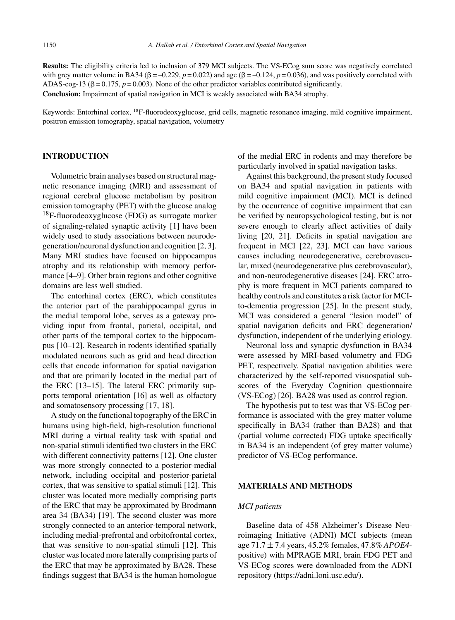**Results:** The eligibility criteria led to inclusion of 379 MCI subjects. The VS-ECog sum score was negatively correlated with grey matter volume in BA34 ( $\beta = -0.229$ ,  $p = 0.022$ ) and age ( $\beta = -0.124$ ,  $p = 0.036$ ), and was positively correlated with ADAS-cog-13 ( $\beta$  = 0.175,  $p$  = 0.003). None of the other predictor variables contributed significantly. **Conclusion:** Impairment of spatial navigation in MCI is weakly associated with BA34 atrophy.

Keywords: Entorhinal cortex, 18F-fluorodeoxyglucose, grid cells, magnetic resonance imaging, mild cognitive impairment, positron emission tomography, spatial navigation, volumetry

## **INTRODUCTION**

Volumetric brain analyses based on structural magnetic resonance imaging (MRI) and assessment of regional cerebral glucose metabolism by positron emission tomography (PET) with the glucose analog  $18$ F-fluorodeoxyglucose (FDG) as surrogate marker of signaling-related synaptic activity [1] have been widely used to study associations between neurodegeneration/neuronal dysfunction and cognition [2, 3]. Many MRI studies have focused on hippocampus atrophy and its relationship with memory performance [4–9]. Other brain regions and other cognitive domains are less well studied.

The entorhinal cortex (ERC), which constitutes the anterior part of the parahippocampal gyrus in the medial temporal lobe, serves as a gateway providing input from frontal, parietal, occipital, and other parts of the temporal cortex to the hippocampus [10–12]. Research in rodents identified spatially modulated neurons such as grid and head direction cells that encode information for spatial navigation and that are primarily located in the medial part of the ERC [13–15]. The lateral ERC primarily supports temporal orientation [16] as well as olfactory and somatosensory processing [17, 18].

A study on the functional topography of the ERC in humans using high-field, high-resolution functional MRI during a virtual reality task with spatial and non-spatial stimuli identified two clusters in the ERC with different connectivity patterns [12]. One cluster was more strongly connected to a posterior-medial network, including occipital and posterior-parietal cortex, that was sensitive to spatial stimuli [12]. This cluster was located more medially comprising parts of the ERC that may be approximated by Brodmann area 34 (BA34) [19]. The second cluster was more strongly connected to an anterior-temporal network, including medial-prefrontal and orbitofrontal cortex, that was sensitive to non-spatial stimuli [12]. This cluster was located more laterally comprising parts of the ERC that may be approximated by BA28. These findings suggest that BA34 is the human homologue of the medial ERC in rodents and may therefore be particularly involved in spatial navigation tasks.

Against this background, the present study focused on BA34 and spatial navigation in patients with mild cognitive impairment (MCI). MCI is defined by the occurrence of cognitive impairment that can be verified by neuropsychological testing, but is not severe enough to clearly affect activities of daily living [20, 21]. Deficits in spatial navigation are frequent in MCI [22, 23]. MCI can have various causes including neurodegenerative, cerebrovascular, mixed (neurodegenerative plus cerebrovascular), and non-neurodegenerative diseases [24]. ERC atrophy is more frequent in MCI patients compared to healthy controls and constitutes a risk factor for MCIto-dementia progression [25]. In the present study, MCI was considered a general "lesion model" of spatial navigation deficits and ERC degeneration/ dysfunction, independent of the underlying etiology.

Neuronal loss and synaptic dysfunction in BA34 were assessed by MRI-based volumetry and FDG PET, respectively. Spatial navigation abilities were characterized by the self-reported visuospatial subscores of the Everyday Cognition questionnaire (VS-ECog) [26]. BA28 was used as control region.

The hypothesis put to test was that VS-ECog performance is associated with the grey matter volume specifically in BA34 (rather than BA28) and that (partial volume corrected) FDG uptake specifically in BA34 is an independent (of grey matter volume) predictor of VS-ECog performance.

## **MATERIALS AND METHODS**

#### *MCI patients*

Baseline data of 458 Alzheimer's Disease Neuroimaging Initiative (ADNI) MCI subjects (mean age 71.7 ± 7.4 years, 45.2% females, 47.8% *APOE4* positive) with MPRAGE MRI, brain FDG PET and VS-ECog scores were downloaded from the ADNI repository [\(https://adni.loni.usc.edu/](https://adni.loni.usc.edu/)).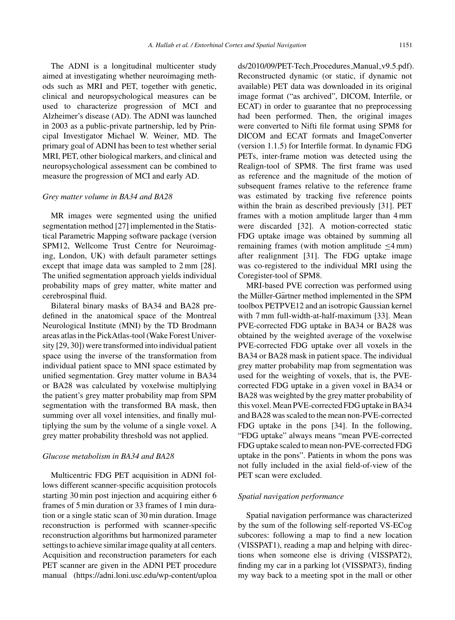The ADNI is a longitudinal multicenter study aimed at investigating whether neuroimaging methods such as MRI and PET, together with genetic, clinical and neuropsychological measures can be used to characterize progression of MCI and Alzheimer's disease (AD). The ADNI was launched in 2003 as a public-private partnership, led by Principal Investigator Michael W. Weiner, MD. The primary goal of ADNI has been to test whether serial MRI, PET, other biological markers, and clinical and neuropsychological assessment can be combined to measure the progression of MCI and early AD.

### *Grey matter volume in BA34 and BA28*

MR images were segmented using the unified segmentation method [27] implemented in the Statistical Parametric Mapping software package (version SPM12, Wellcome Trust Centre for Neuroimaging, London, UK) with default parameter settings except that image data was sampled to 2 mm [28]. The unified segmentation approach yields individual probability maps of grey matter, white matter and cerebrospinal fluid.

Bilateral binary masks of BA34 and BA28 predefined in the anatomical space of the Montreal Neurological Institute (MNI) by the TD Brodmann areas atlas in the PickAtlas-tool (Wake Forest University [29, 30]) were transformed into individual patient space using the inverse of the transformation from individual patient space to MNI space estimated by unified segmentation. Grey matter volume in BA34 or BA28 was calculated by voxelwise multiplying the patient's grey matter probability map from SPM segmentation with the transformed BA mask, then summing over all voxel intensities, and finally multiplying the sum by the volume of a single voxel. A grey matter probability threshold was not applied.

#### *Glucose metabolism in BA34 and BA28*

Multicentric FDG PET acquisition in ADNI follows different scanner-specific acquisition protocols starting 30 min post injection and acquiring either 6 frames of 5 min duration or 33 frames of 1 min duration or a single static scan of 30 min duration. Image reconstruction is performed with scanner-specific reconstruction algorithms but harmonized parameter settings to achieve similar image quality at all centers. Acquisition and reconstruction parameters for each PET scanner are given in the ADNI PET procedure manual (https://adni.loni.usc.edu/wp-content/uploa ds/2010/09/PET-Tech\_Procedures\_Manual\_v9.5.pdf). Reconstructed dynamic (or static, if dynamic not available) PET data was downloaded in its original image format ("as archived", DICOM, Interfile, or ECAT) in order to guarantee that no preprocessing had been performed. Then, the original images were converted to Nifti file format using SPM8 for DICOM and ECAT formats and ImageConverter (version 1.1.5) for Interfile format. In dynamic FDG PETs, inter-frame motion was detected using the Realign-tool of SPM8. The first frame was used as reference and the magnitude of the motion of subsequent frames relative to the reference frame was estimated by tracking five reference points within the brain as described previously [31]. PET frames with a motion amplitude larger than 4 mm were discarded [32]. A motion-corrected static FDG uptake image was obtained by summing all remaining frames (with motion amplitude  $\leq$ 4 mm) after realignment [31]. The FDG uptake image was co-registered to the individual MRI using the Coregister-tool of SPM8.

MRI-based PVE correction was performed using the Müller-Gärtner method implemented in the SPM toolbox PETPVE12 and an isotropic Gaussian kernel with 7 mm full-width-at-half-maximum [33]. Mean PVE-corrected FDG uptake in BA34 or BA28 was obtained by the weighted average of the voxelwise PVE-corrected FDG uptake over all voxels in the BA34 or BA28 mask in patient space. The individual grey matter probability map from segmentation was used for the weighting of voxels, that is, the PVEcorrected FDG uptake in a given voxel in BA34 or BA28 was weighted by the grey matter probability of this voxel. Mean PVE-corrected FDG uptake in BA34 and BA28 was scaled to the mean non-PVE-corrected FDG uptake in the pons [34]. In the following, "FDG uptake" always means "mean PVE-corrected FDG uptake scaled to mean non-PVE-corrected FDG uptake in the pons". Patients in whom the pons was not fully included in the axial field-of-view of the PET scan were excluded.

## *Spatial navigation performance*

Spatial navigation performance was characterized by the sum of the following self-reported VS-ECog subcores: following a map to find a new location (VISSPAT1), reading a map and helping with directions when someone else is driving (VISSPAT2), finding my car in a parking lot (VISSPAT3), finding [my way back to a meeting spot in the mal](https://adni.loni.usc.edu/wp-content/uploads/2010/09/PET-Tech_Procedures_Manual_v9.5.pdf)l or other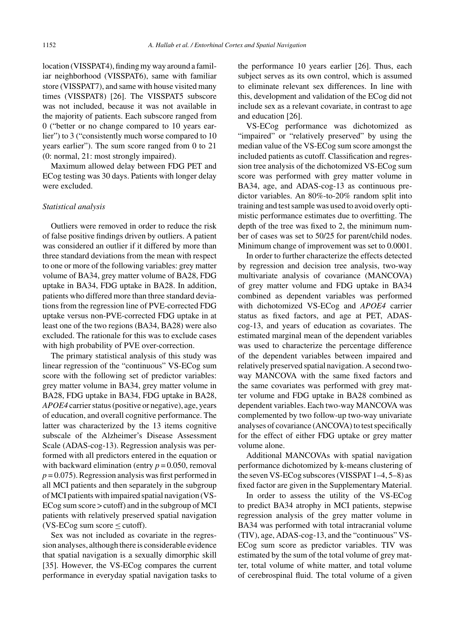location (VISSPAT4), finding my way around a familiar neighborhood (VISSPAT6), same with familiar store (VISSPAT7), and same with house visited many times (VISSPAT8) [26]. The VISSPAT5 subscore was not included, because it was not available in the majority of patients. Each subscore ranged from 0 ("better or no change compared to 10 years earlier") to 3 ("consistently much worse compared to 10 years earlier"). The sum score ranged from 0 to 21 (0: normal, 21: most strongly impaired).

Maximum allowed delay between FDG PET and ECog testing was 30 days. Patients with longer delay were excluded.

#### *Statistical analysis*

Outliers were removed in order to reduce the risk of false positive findings driven by outliers. A patient was considered an outlier if it differed by more than three standard deviations from the mean with respect to one or more of the following variables: grey matter volume of BA34, grey matter volume of BA28, FDG uptake in BA34, FDG uptake in BA28. In addition, patients who differed more than three standard deviations from the regression line of PVE-corrected FDG uptake versus non-PVE-corrected FDG uptake in at least one of the two regions (BA34, BA28) were also excluded. The rationale for this was to exclude cases with high probability of PVE over-correction.

The primary statistical analysis of this study was linear regression of the "continuous" VS-ECog sum score with the following set of predictor variables: grey matter volume in BA34, grey matter volume in BA28, FDG uptake in BA34, FDG uptake in BA28, *APOE4* carrier status (positive or negative), age, years of education, and overall cognitive performance. The latter was characterized by the 13 items cognitive subscale of the Alzheimer's Disease Assessment Scale (ADAS-cog-13). Regression analysis was performed with all predictors entered in the equation or with backward elimination (entry  $p = 0.050$ , removal  $p = 0.075$ ). Regression analysis was first performed in all MCI patients and then separately in the subgroup of MCI patients with impaired spatial navigation (VS-ECog sum score > cutoff) and in the subgroup of MCI patients with relatively preserved spatial navigation  $(VS-ECog sum score \le cutoff)$ .

Sex was not included as covariate in the regression analyses, although there is considerable evidence that spatial navigation is a sexually dimorphic skill [35]. However, the VS-ECog compares the current performance in everyday spatial navigation tasks to

the performance 10 years earlier [26]. Thus, each subject serves as its own control, which is assumed to eliminate relevant sex differences. In line with this, development and validation of the ECog did not include sex as a relevant covariate, in contrast to age and education [26].

VS-ECog performance was dichotomized as "impaired" or "relatively preserved" by using the median value of the VS-ECog sum score amongst the included patients as cutoff. Classification and regression tree analysis of the dichotomized VS-ECog sum score was performed with grey matter volume in BA34, age, and ADAS-cog-13 as continuous predictor variables. An 80%-to-20% random split into training and test sample was used to avoid overly optimistic performance estimates due to overfitting. The depth of the tree was fixed to 2, the minimum number of cases was set to 50/25 for parent/child nodes. Minimum change of improvement was set to 0.0001.

In order to further characterize the effects detected by regression and decision tree analysis, two-way multivariate analysis of covariance (MANCOVA) of grey matter volume and FDG uptake in BA34 combined as dependent variables was performed with dichotomized VS-ECog and *APOE4* carrier status as fixed factors, and age at PET, ADAScog-13, and years of education as covariates. The estimated marginal mean of the dependent variables was used to characterize the percentage difference of the dependent variables between impaired and relatively preserved spatial navigation. A second twoway MANCOVA with the same fixed factors and the same covariates was performed with grey matter volume and FDG uptake in BA28 combined as dependent variables. Each two-way MANCOVA was complemented by two follow-up two-way univariate analyses of covariance (ANCOVA) to test specifically for the effect of either FDG uptake or grey matter volume alone.

Additional MANCOVAs with spatial navigation performance dichotomized by k-means clustering of the seven VS-ECog subscores (VISSPAT 1–4, 5–8) as fixed factor are given in the Supplementary Material.

In order to assess the utility of the VS-ECog to predict BA34 atrophy in MCI patients, stepwise regression analysis of the grey matter volume in BA34 was performed with total intracranial volume (TIV), age, ADAS-cog-13, and the "continuous" VS-ECog sum score as predictor variables. TIV was estimated by the sum of the total volume of grey matter, total volume of white matter, and total volume of cerebrospinal fluid. The total volume of a given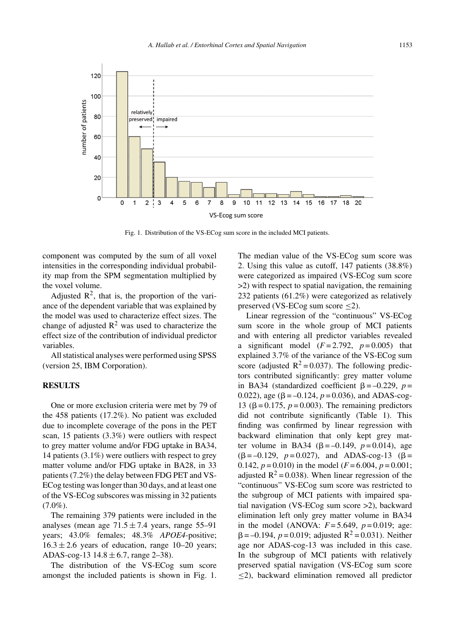

Fig. 1. Distribution of the VS-ECog sum score in the included MCI patients.

component was computed by the sum of all voxel intensities in the corresponding individual probability map from the SPM segmentation multiplied by the voxel volume.

Adjusted  $\mathbb{R}^2$ , that is, the proportion of the variance of the dependent variable that was explained by the model was used to characterize effect sizes. The change of adjusted  $\mathbb{R}^2$  was used to characterize the effect size of the contribution of individual predictor variables.

All statistical analyses were performed using SPSS (version 25, IBM Corporation).

## **RESULTS**

One or more exclusion criteria were met by 79 of the 458 patients (17.2%). No patient was excluded due to incomplete coverage of the pons in the PET scan, 15 patients (3.3%) were outliers with respect to grey matter volume and/or FDG uptake in BA34, 14 patients (3.1%) were outliers with respect to grey matter volume and/or FDG uptake in BA28, in 33 patients (7.2%) the delay between FDG PET and VS-ECog testing was longer than 30 days, and at least one of the VS-ECog subscores was missing in 32 patients  $(7.0\%)$ .

The remaining 379 patients were included in the analyses (mean age  $71.5 \pm 7.4$  years, range 55–91 years; 43.0% females; 48.3% *APOE4*-positive;  $16.3 \pm 2.6$  years of education, range 10–20 years; ADAS-cog-13  $14.8 \pm 6.7$ , range 2–38).

The distribution of the VS-ECog sum score amongst the included patients is shown in Fig. 1. The median value of the VS-ECog sum score was 2. Using this value as cutoff, 147 patients (38.8%) were categorized as impaired (VS-ECog sum score >2) with respect to spatial navigation, the remaining 232 patients (61.2%) were categorized as relatively preserved (VS-ECog sum score  $\leq$ 2).

Linear regression of the "continuous" VS-ECog sum score in the whole group of MCI patients and with entering all predictor variables revealed a significant model  $(F=2.792, p=0.005)$  that explained 3.7% of the variance of the VS-ECog sum score (adjusted  $R^2 = 0.037$ ). The following predictors contributed significantly: grey matter volume in BA34 (standardized coefficient  $\beta = -0.229$ ,  $p =$ 0.022), age ( $\beta = -0.124$ ,  $p = 0.036$ ), and ADAS-cog-13 ( $β = 0.175$ ,  $p = 0.003$ ). The remaining predictors did not contribute significantly (Table 1). This finding was confirmed by linear regression with backward elimination that only kept grey matter volume in BA34 ( $\beta = -0.149$ ,  $p = 0.014$ ), age  $(\beta = -0.129, p = 0.027)$ , and ADAS-cog-13 ( $\beta =$ 0.142,  $p = 0.010$ ) in the model ( $F = 6.004$ ,  $p = 0.001$ ; adjusted  $R^2$  = 0.038). When linear regression of the "continuous" VS-ECog sum score was restricted to the subgroup of MCI patients with impaired spatial navigation (VS-ECog sum score >2), backward elimination left only grey matter volume in BA34 in the model (ANOVA:  $F = 5.649$ ,  $p = 0.019$ ; age:  $\beta = -0.194$ ,  $p = 0.019$ ; adjusted R<sup>2</sup> = 0.031). Neither age nor ADAS-cog-13 was included in this case. In the subgroup of MCI patients with relatively preserved spatial navigation (VS-ECog sum score  $\leq$ 2), backward elimination removed all predictor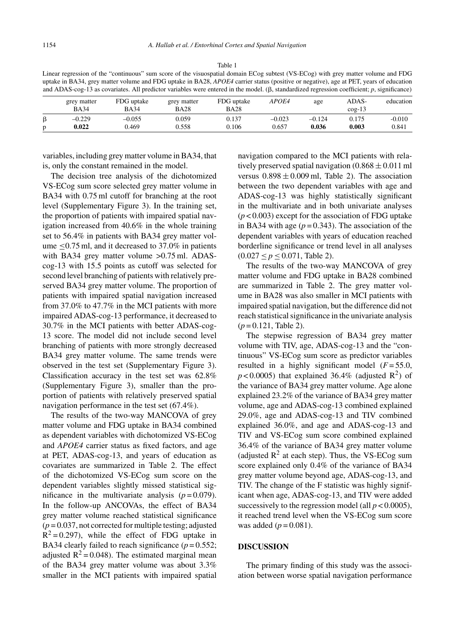Table 1

| Linear regression of the "continuous" sum score of the visuospatial domain ECog subtest (VS-ECog) with grey matter volume and FDG                   |               |             |               |       |                |             |           |  |  |
|-----------------------------------------------------------------------------------------------------------------------------------------------------|---------------|-------------|---------------|-------|----------------|-------------|-----------|--|--|
| uptake in BA34, grey matter volume and FDG uptake in BA28, <i>APOE4</i> carrier status (positive or negative), age at PET, years of education       |               |             |               |       |                |             |           |  |  |
| and ADAS-cog-13 as covariates. All predictor variables were entered in the model. ( $\beta$ , standardized regression coefficient; p, significance) |               |             |               |       |                |             |           |  |  |
| <b>GRATI</b> mottor                                                                                                                                 | $EDC$ untelse | crow mottor | $EDC$ untoles | ADOEA | 0 <sup>0</sup> | <b>ADAC</b> | odugation |  |  |

|   | grey matter<br><b>BA34</b> | FDG uptake<br><b>BA34</b> | grey matter<br><b>BA28</b> | FDG uptake<br><b>BA28</b> | <i>APOE4</i> | age      | ADAS-<br>$\cos-13$ | education |
|---|----------------------------|---------------------------|----------------------------|---------------------------|--------------|----------|--------------------|-----------|
|   | $-0.229$                   | $-0.055$                  | 0.059                      | 0.137                     | $-0.023$     | $-0.124$ | 0.175              | $-0.010$  |
| n | 0.022                      | 0.469                     | 0.558                      | 0.106                     | 0.657        | 0.036    | 0.003              | 0.841     |

variables, including grey matter volume in BA34, that is, only the constant remained in the model.

The decision tree analysis of the dichotomized VS-ECog sum score selected grey matter volume in BA34 with 0.75 ml cutoff for branching at the root level (Supplementary Figure 3). In the training set, the proportion of patients with impaired spatial navigation increased from 40.6% in the whole training set to 56.4% in patients with BA34 grey matter volume ≤0.75 ml, and it decreased to 37.0% in patients with BA34 grey matter volume > 0.75 ml. ADAScog-13 with 15.5 points as cutoff was selected for second level branching of patients with relatively preserved BA34 grey matter volume. The proportion of patients with impaired spatial navigation increased from 37.0% to 47.7% in the MCI patients with more impaired ADAS-cog-13 performance, it decreased to 30.7% in the MCI patients with better ADAS-cog-13 score. The model did not include second level branching of patients with more strongly decreased BA34 grey matter volume. The same trends were observed in the test set (Supplementary Figure 3). Classification accuracy in the test set was 62.8% (Supplementary Figure 3), smaller than the proportion of patients with relatively preserved spatial navigation performance in the test set (67.4%).

The results of the two-way MANCOVA of grey matter volume and FDG uptake in BA34 combined as dependent variables with dichotomized VS-ECog and *APOE4* carrier status as fixed factors, and age at PET, ADAS-cog-13, and years of education as covariates are summarized in Table 2. The effect of the dichotomized VS-ECog sum score on the dependent variables slightly missed statistical significance in the multivariate analysis  $(p=0.079)$ . In the follow-up ANCOVAs, the effect of BA34 grey matter volume reached statistical significance (*p* = 0.037, not corrected for multiple testing; adjusted  $R^2 = 0.297$ , while the effect of FDG uptake in BA34 clearly failed to reach significance  $(p = 0.552)$ ; adjusted  $R^2 = 0.048$ ). The estimated marginal mean of the BA34 grey matter volume was about 3.3% smaller in the MCI patients with impaired spatial navigation compared to the MCI patients with relatively preserved spatial navigation  $(0.868 \pm 0.011 \text{ m})$ versus  $0.898 \pm 0.009$  ml, Table 2). The association between the two dependent variables with age and ADAS-cog-13 was highly statistically significant in the multivariate and in both univariate analyses  $(p<0.003)$  except for the association of FDG uptake in BA34 with age  $(p=0.343)$ . The association of the dependent variables with years of education reached borderline significance or trend level in all analyses  $(0.027 \le p \le 0.071$ , Table 2).

The results of the two-way MANCOVA of grey matter volume and FDG uptake in BA28 combined are summarized in Table 2. The grey matter volume in BA28 was also smaller in MCI patients with impaired spatial navigation, but the difference did not reach statistical significance in the univariate analysis (*p* = 0.121, Table 2).

The stepwise regression of BA34 grey matter volume with TIV, age, ADAS-cog-13 and the "continuous" VS-ECog sum score as predictor variables resulted in a highly significant model  $(F = 55.0,$  $p < 0.0005$ ) that explained 36.4% (adjusted R<sup>2</sup>) of the variance of BA34 grey matter volume. Age alone explained 23.2% of the variance of BA34 grey matter volume, age and ADAS-cog-13 combined explained 29.0%, age and ADAS-cog-13 and TIV combined explained 36.0%, and age and ADAS-cog-13 and TIV and VS-ECog sum score combined explained 36.4% of the variance of BA34 grey matter volume (adjusted  $\mathbb{R}^2$  at each step). Thus, the VS-ECog sum score explained only 0.4% of the variance of BA34 grey matter volume beyond age, ADAS-cog-13, and TIV. The change of the F statistic was highly significant when age, ADAS-cog-13, and TIV were added successively to the regression model (all  $p < 0.0005$ ), it reached trend level when the VS-ECog sum score was added ( $p = 0.081$ ).

#### **DISCUSSION**

The primary finding of this study was the association between worse spatial navigation performance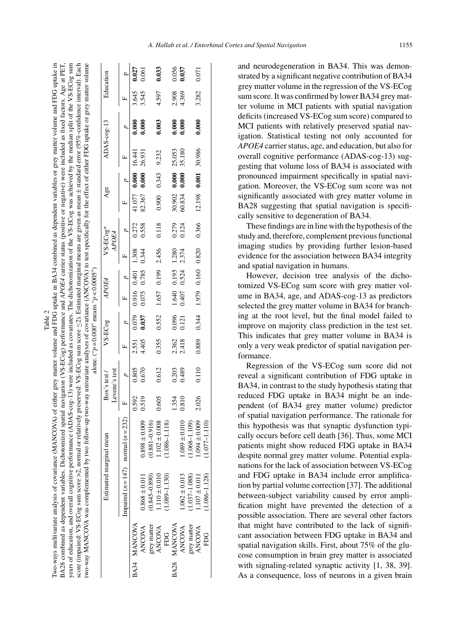|                                                                                                                                                                                                                                                                                                                                                                                                                                     | Education                   |                                         | 0.027             | 0.061             |                   | 0.033              |                   | 0.056          | 0.037             |                       | 0.071                |                   |
|-------------------------------------------------------------------------------------------------------------------------------------------------------------------------------------------------------------------------------------------------------------------------------------------------------------------------------------------------------------------------------------------------------------------------------------|-----------------------------|-----------------------------------------|-------------------|-------------------|-------------------|--------------------|-------------------|----------------|-------------------|-----------------------|----------------------|-------------------|
|                                                                                                                                                                                                                                                                                                                                                                                                                                     |                             |                                         | 3.645             | 3.545             |                   | 4.597              |                   | 2.908          | 4.369             |                       | 3.282                |                   |
|                                                                                                                                                                                                                                                                                                                                                                                                                                     | ADAS-cog-13                 |                                         |                   | 0.000             |                   | 0.003              |                   | 0.000          | 0.000             |                       | 0.000                |                   |
|                                                                                                                                                                                                                                                                                                                                                                                                                                     |                             |                                         |                   |                   |                   | 9.232              |                   | 25.053         | 35.180            |                       | 30.986               |                   |
|                                                                                                                                                                                                                                                                                                                                                                                                                                     |                             |                                         | $0.000$ 16.441    | 0.000026.931      |                   | 0.343              |                   | 0.000          | 0.000             |                       | 0.001                |                   |
|                                                                                                                                                                                                                                                                                                                                                                                                                                     | Age                         |                                         | 41.077            | 82.367            |                   | 0.900              |                   | 30.902         | 60.834            |                       | 12.198               |                   |
|                                                                                                                                                                                                                                                                                                                                                                                                                                     | $VS-ECog*$<br>APOE4         |                                         | 0.272             | 0.558             |                   | 0.118              |                   | 0.279          | 0.124             |                       | 0.366                |                   |
|                                                                                                                                                                                                                                                                                                                                                                                                                                     |                             |                                         |                   | 0.344             |                   | 1.657 0.199 2.456  |                   | 1.280          | 2.374             |                       |                      |                   |
|                                                                                                                                                                                                                                                                                                                                                                                                                                     |                             |                                         | 0.916 0.401 1.308 | 0.785             |                   |                    |                   | 0.195          | 0.524             |                       | 1.979 0.160 0.820    |                   |
|                                                                                                                                                                                                                                                                                                                                                                                                                                     | APOE4                       |                                         |                   | 0.075             |                   |                    |                   | 1.640          | 0.407             |                       |                      |                   |
| two-way MANCOVA was complemented by two-tofollow-up two-way univariate analyses of covariance (ANCOVA) to test specifically for the effect of either FDG uptake or grey matter volume<br>score (impaired: VS-ECog sum score >2, normal or relatively preserved: VS-ECog sum score ≤2). Estimated marginal means are given as mean±standard error (95%-confidence interval). Each<br>alone. (" $p = 0.000$ " means " $p < 0.0005$ ") | VS-ECog                     |                                         | 0.079             | 0.037             |                   | 0.552              |                   | 0.096          | 0.121             |                       | 0.344                |                   |
|                                                                                                                                                                                                                                                                                                                                                                                                                                     |                             | $\mathbf{r}$                            | 2.551             | 4.405             |                   | 0.355              |                   | 2.362          | 2.418             |                       | 0.889                |                   |
|                                                                                                                                                                                                                                                                                                                                                                                                                                     | Levene's test<br>Box's test |                                         | 0.805             | 0.670             |                   | 0.612              |                   | 0.203          | 0.489             |                       | 0.110                |                   |
|                                                                                                                                                                                                                                                                                                                                                                                                                                     |                             |                                         | 0.592             | 0.519             |                   | 0.605              |                   | 1.354          | 0.810             |                       | 2.026                |                   |
|                                                                                                                                                                                                                                                                                                                                                                                                                                     |                             |                                         |                   | $0.898 \pm 0.009$ | $(916.0 - 1881)$  | 0.008<br>$1.102 +$ | $1.086 - 1.118$   |                | $1.089 \pm 0.010$ | 1.109)<br>$1.068 - 1$ | 0.009<br>$1.094 \pm$ | $1.077 - 1.110$   |
|                                                                                                                                                                                                                                                                                                                                                                                                                                     | Estimated marginal mean     | Impaired $(n = 147)$ normal $(n = 232)$ |                   | $0.868 \pm 0.011$ | $(0.845 - 0.890)$ | $1.110 \pm 0.010$  | $(1.089 - 1.130)$ |                | $1.062 \pm 0.013$ | $(1.037 - 1.088)$     | $1.107 \pm 0.011$    | $(1.086 - 1.128)$ |
|                                                                                                                                                                                                                                                                                                                                                                                                                                     |                             |                                         | BA34 MANCOVA      | <b>ANCOVA</b>     | grey matter       | <b>ANCOVA</b>      | EDG.              | <b>MANCOVA</b> | <b>ANCOVA</b>     | grey matter           | <b>ANCOVA</b>        | E<br>E            |
|                                                                                                                                                                                                                                                                                                                                                                                                                                     |                             |                                         |                   |                   |                   |                    |                   | <b>BA28</b>    |                   |                       |                      |                   |

Table 2 Two-ways multivariate analysis of covariance (MANCOVA) of either grey matter volume and FDG uptake in BA34 combined as dependent variables or grey matter volume and FDG uptake in BA28 combined as dependent variables. Dichotomized spatial navigation (VS-ECog) performance and *APOE4* carrier status (positive or negative) were included as fixed factors. Age at PET, years of education, and overall cognitive performance (ADAS-cog-13) were included as covariates. The dichotomization of the VS-ECog was achieved by the median split of the VS-ECog sum

Iwo-ways multivariate analysis of covariance (MANCOVA) of either grey matter volume and FDG uptake in BA34 combined as dependent variables or grey matter volume and FDG uptake in BA28 combined as dependent variables. Dichotomized spatial navigation (VS-ECog) performance and APOE4 carrier status (positive or negative) were included as fixed factors. Age at PET,<br>years of education, and overall cognit

and neurodegeneration in BA34. This was demonstrated by a significant negative contribution of BA34 grey matter volume in the regression of the VS-ECog sum score. It was confirmed by lower BA34 grey matter volume in MCI patients with spatial navigation deficits (increased VS-ECog sum score) compared to MCI patients with relatively preserved spatial navigation. Statistical testing not only accounted for *APOE4* carrier status, age, and education, but also for overall cognitive performance (ADAS-cog-13) suggesting that volume loss of BA34 is associated with pronounced impairment specifically in spatial navigation. Moreover, the VS-ECog sum score was not significantly associated with grey matter volume in BA28 suggesting that spatial navigation is specifically sensitive to degeneration of BA34.

These findings are in line with the hypothesis of the study and, therefore, complement previous functional imaging studies by providing further lesion-based evidence for the association between BA34 integrity and spatial navigation in humans.

However, decision tree analysis of the dichotomized VS-ECog sum score with grey matter volume in BA34, age, and ADAS-cog-13 as predictors selected the grey matter volume in BA34 for branching at the root level, but the final model failed to improve on majority class prediction in the test set. This indicates that grey matter volume in BA34 is only a very weak predictor of spatial navigation performance.

Regression of the VS-ECog sum score did not reveal a significant contribution of FDG uptake in BA34, in contrast to the study hypothesis stating that reduced FDG uptake in BA34 might be an independent (of BA34 grey matter volume) predictor of spatial navigation performance. The rationale for this hypothesis was that synaptic dysfunction typically occurs before cell death [36]. Thus, some MCI patients might show reduced FDG uptake in BA34 despite normal grey matter volume. Potential explanations for the lack of association between VS-ECog and FDG uptake in BA34 include error amplification by partial volume correction [37]. The additional between-subject variability caused by error amplification might have prevented the detection of a possible association. There are several other factors that might have contributed to the lack of significant association between FDG uptake in BA34 and spatial navigation skills. First, about 75% of the glucose consumption in brain grey matter is associated with signaling-related synaptic activity [1, 38, 39]. As a consequence, loss of neurons in a given brain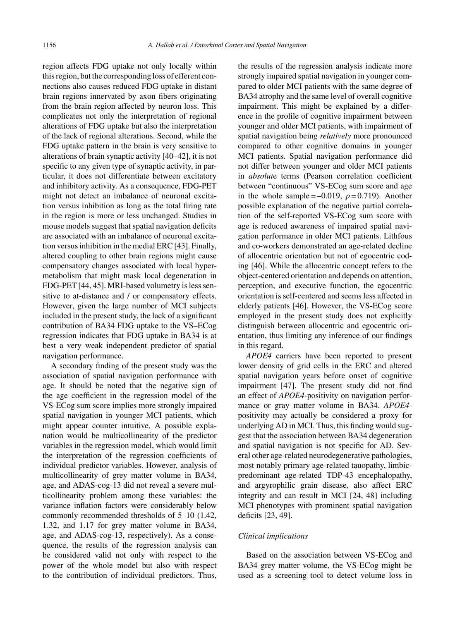region affects FDG uptake not only locally within this region, but the corresponding loss of efferent connections also causes reduced FDG uptake in distant brain regions innervated by axon fibers originating from the brain region affected by neuron loss. This complicates not only the interpretation of regional alterations of FDG uptake but also the interpretation of the lack of regional alterations. Second, while the FDG uptake pattern in the brain is very sensitive to alterations of brain synaptic activity [40–42], it is not specific to any given type of synaptic activity, in particular, it does not differentiate between excitatory and inhibitory activity. As a consequence, FDG-PET might not detect an imbalance of neuronal excitation versus inhibition as long as the total firing rate in the region is more or less unchanged. Studies in mouse models suggest that spatial navigation deficits are associated with an imbalance of neuronal excitation versus inhibition in the medial ERC [43]. Finally, altered coupling to other brain regions might cause compensatory changes associated with local hypermetabolism that might mask local degeneration in FDG-PET [44, 45]. MRI-based volumetry is less sensitive to at-distance and / or compensatory effects. However, given the large number of MCI subjects included in the present study, the lack of a significant contribution of BA34 FDG uptake to the VS–ECog regression indicates that FDG uptake in BA34 is at best a very weak independent predictor of spatial navigation performance.

A secondary finding of the present study was the association of spatial navigation performance with age. It should be noted that the negative sign of the age coefficient in the regression model of the VS-ECog sum score implies more strongly impaired spatial navigation in younger MCI patients, which might appear counter intuitive. A possible explanation would be multicollinearity of the predictor variables in the regression model, which would limit the interpretation of the regression coefficients of individual predictor variables. However, analysis of multicollinearity of grey matter volume in BA34, age, and ADAS-cog-13 did not reveal a severe multicollinearity problem among these variables: the variance inflation factors were considerably below commonly recommended thresholds of 5–10 (1.42, 1.32, and 1.17 for grey matter volume in BA34, age, and ADAS-cog-13, respectively). As a consequence, the results of the regression analysis can be considered valid not only with respect to the power of the whole model but also with respect to the contribution of individual predictors. Thus,

the results of the regression analysis indicate more strongly impaired spatial navigation in younger compared to older MCI patients with the same degree of BA34 atrophy and the same level of overall cognitive impairment. This might be explained by a difference in the profile of cognitive impairment between younger and older MCI patients, with impairment of spatial navigation being *relatively* more pronounced compared to other cognitive domains in younger MCI patients. Spatial navigation performance did not differ between younger and older MCI patients in *absolut*e terms (Pearson correlation coefficient between "continuous" VS-ECog sum score and age in the whole sample  $=-0.019$ ,  $p=0.719$ ). Another possible explanation of the negative partial correlation of the self-reported VS-ECog sum score with age is reduced awareness of impaired spatial navigation performance in older MCI patients. Lithfous and co-workers demonstrated an age-related decline of allocentric orientation but not of egocentric coding [46]. While the allocentric concept refers to the object-centered orientation and depends on attention, perception, and executive function, the egocentric orientation is self-centered and seems less affected in elderly patients [46]. However, the VS-ECog score employed in the present study does not explicitly distinguish between allocentric and egocentric orientation, thus limiting any inference of our findings in this regard.

*APOE4* carriers have been reported to present lower density of grid cells in the ERC and altered spatial navigation years before onset of cognitive impairment [47]. The present study did not find an effect of *APOE4*-positivity on navigation performance or gray matter volume in BA34. *APOE4* positivity may actually be considered a proxy for underlying AD in MCI. Thus, this finding would suggest that the association between BA34 degeneration and spatial navigation is not specific for AD. Several other age-related neurodegenerative pathologies, most notably primary age-related tauopathy, limbicpredominant age-related TDP-43 encephalopathy, and argyrophilic grain disease, also affect ERC integrity and can result in MCI [24, 48] including MCI phenotypes with prominent spatial navigation deficits [23, 49].

#### *Clinical implications*

Based on the association between VS-ECog and BA34 grey matter volume, the VS-ECog might be used as a screening tool to detect volume loss in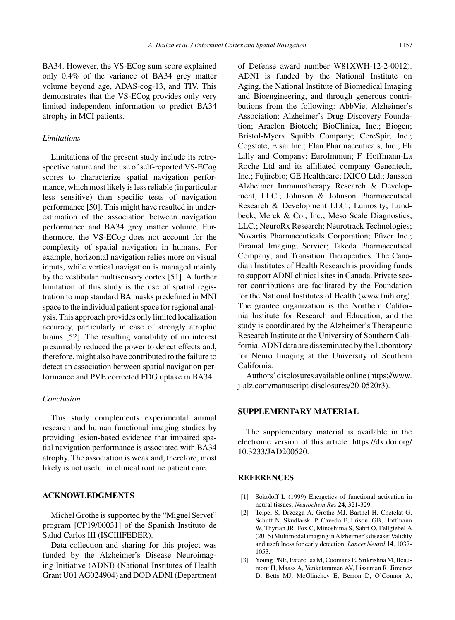### *Limitations*

Limitations of the present study include its retrospective nature and the use of self-reported VS-ECog scores to characterize spatial navigation performance, which most likely is less reliable (in particular less sensitive) than specific tests of navigation performance [50]. This might have resulted in underestimation of the association between navigation performance and BA34 grey matter volume. Furthermore, the VS-ECog does not account for the complexity of spatial navigation in humans. For example, horizontal navigation relies more on visual inputs, while vertical navigation is managed mainly by the vestibular multisensory cortex [51]. A further limitation of this study is the use of spatial registration to map standard BA masks predefined in MNI space to the individual patient space for regional analysis. This approach provides only limited localization accuracy, particularly in case of strongly atrophic brains [52]. The resulting variability of no interest presumably reduced the power to detect effects and, therefore, might also have contributed to the failure to detect an association between spatial navigation performance and PVE corrected FDG uptake in BA34.

## *Conclusion*

This study complements experimental animal research and human functional imaging studies by providing lesion-based evidence that impaired spatial navigation performance is associated with BA34 atrophy. The association is weak and, therefore, most likely is not useful in clinical routine patient care.

# **ACKNOWLEDGMENTS**

Michel Grothe is supported by the "Miguel Servet" program [CP19/00031] of the Spanish Instituto de Salud Carlos III (ISCIIIFEDER).

Data collection and sharing for this project was funded by the Alzheimer's Disease Neuroimaging Initiative (ADNI) (National Institutes of Health Grant U01 AG024904) and DOD ADNI (Department

of Defense award number W81XWH-12-2-0012). ADNI is funded by the National Institute on Aging, the National Institute of Biomedical Imaging and Bioengineering, and through generous contributions from the following: AbbVie, Alzheimer's Association; Alzheimer's Drug Discovery Foundation; Araclon Biotech; BioClinica, Inc.; Biogen; Bristol-Myers Squibb Company; CereSpir, Inc.; Cogstate; Eisai Inc.; Elan Pharmaceuticals, Inc.; Eli Lilly and Company; EuroImmun; F. Hoffmann-La Roche Ltd and its affiliated company Genentech, Inc.; Fujirebio; GE Healthcare; IXICO Ltd.; Janssen Alzheimer Immunotherapy Research & Development, LLC.; Johnson & Johnson Pharmaceutical Research & Development LLC.; Lumosity; Lundbeck; Merck & Co., Inc.; Meso Scale Diagnostics, LLC.; NeuroRx Research; Neurotrack Technologies; Novartis Pharmaceuticals Corporation; Pfizer Inc.; Piramal Imaging; Servier; Takeda Pharmaceutical Company; and Transition Therapeutics. The Canadian Institutes of Health Research is providing funds to support ADNI clinical sites in Canada. Private sector contributions are facilitated by the Foundation for the National Institutes of Health [\(www.fnih.org](www.fnih.org)). The grantee organization is the Northern California Institute for Research and Education, and the study is coordinated by the Alzheimer's Therapeutic Research Institute at the University of Southern California. ADNI data are disseminated by the Laboratory for Neuro Imaging at the University of Southern California.

Authors'disclosuresavailableonline[\(https://www.](https://www.j-alz.com/manuscript-disclosures/20-0520r3) j-alz.com/manuscript-disclosures/20-0520r3).

# **SUPPLEMENTARY MATERIAL**

The supplementary material is available in the electronic version of this article: [https://dx.doi.org/](https://dx.doi.org/10.3233/JAD200520) 10.3233/JAD200520.

## **REFERENCES**

- [1] Sokoloff L (1999) Energetics of functional activation in neural tissues. *Neurochem Res* **24**, 321-329.
- [2] Teipel S, Drzezga A, Grothe MJ, Barthel H, Chetelat G, Schuff N, Skudlarski P, Cavedo E, Frisoni GB, Hoffmann W, Thyrian JR, Fox C, Minoshima S, Sabri O, Fellgiebel A (2015) Multimodal imaging in Alzheimer's disease: Validity and usefulness for early detection. *Lancet Neurol* **14**, 1037- 1053.
- [3] Young PNE, Estarellas M, Coomans E, Srikrishna M, Beaumont H, Maass A, Venkataraman AV, Lissaman R, Jimenez D, Betts MJ, McGlinchey E, Berron D, O'Connor A,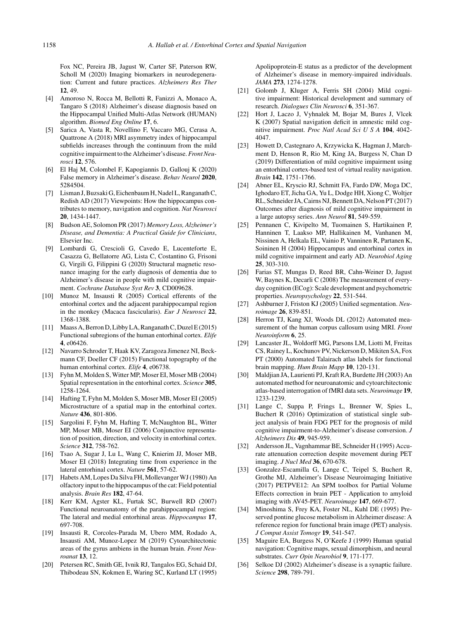Fox NC, Pereira JB, Jagust W, Carter SF, Paterson RW, Scholl M (2020) Imaging biomarkers in neurodegeneration: Current and future practices. *Alzheimers Res Ther* **12**, 49.

- [4] Amoroso N, Rocca M, Bellotti R, Fanizzi A, Monaco A, Tangaro S (2018) Alzheimer's disease diagnosis based on the Hippocampal Unified Multi-Atlas Network (HUMAN) algorithm. *Biomed Eng Online* **17**, 6.
- [5] Sarica A, Vasta R, Novellino F, Vaccaro MG, Cerasa A, Quattrone A (2018) MRI asymmetry index of hippocampal subfields increases through the continuum from the mild cognitive impairment to the Alzheimer's disease.*Front Neurosci* **12**, 576.
- [6] El Haj M, Colombel F, Kapogiannis D, Gallouj K (2020) False memory in Alzheimer's disease. *Behav Neurol* **2020**, 5284504.
- [7] Lisman J, Buzsaki G, Eichenbaum H, Nadel L, Ranganath C, Redish AD (2017) Viewpoints: How the hippocampus contributes to memory, navigation and cognition. *Nat Neurosci* **20**, 1434-1447.
- [8] Budson AE, Solomon PR (2017) *Memory Loss, Alzheimer's Disease, and Dementia: A Practical Guide for Clinicians*, Elsevier Inc.
- [9] Lombardi G, Crescioli G, Cavedo E, Lucenteforte E, Casazza G, Bellatorre AG, Lista C, Costantino G, Frisoni G, Virgili G, Filippini G (2020) Structural magnetic resonance imaging for the early diagnosis of dementia due to Alzheimer's disease in people with mild cognitive impairment. *Cochrane Database Syst Rev* **3**, CD009628.
- [10] Munoz M, Insausti R (2005) Cortical efferents of the entorhinal cortex and the adjacent parahippocampal region in the monkey (Macaca fascicularis). *Eur J Neurosci* **22**, 1368-1388.
- [11] Maass A, Berron D, Libby LA, Ranganath C, Duzel E (2015) Functional subregions of the human entorhinal cortex. *Elife* **4**, e06426.
- [12] Navarro Schroder T, Haak KV, Zaragoza Jimenez NI, Beckmann CF, Doeller CF (2015) Functional topography of the human entorhinal cortex. *Elife* **4**, e06738.
- [13] Fyhn M, Molden S, Witter MP, Moser EI, Moser MB (2004) Spatial representation in the entorhinal cortex. *Science* **305**, 1258-1264.
- [14] Hafting T, Fyhn M, Molden S, Moser MB, Moser EI (2005) Microstructure of a spatial map in the entorhinal cortex. *Nature* **436**, 801-806.
- [15] Sargolini F, Fyhn M, Hafting T, McNaughton BL, Witter MP, Moser MB, Moser EI (2006) Conjunctive representation of position, direction, and velocity in entorhinal cortex. *Science* **312**, 758-762.
- [16] Tsao A, Sugar J, Lu L, Wang C, Knierim JJ, Moser MB, Moser EI (2018) Integrating time from experience in the lateral entorhinal cortex. *Nature* **561**, 57-62.
- [17] Habets AM, Lopes Da Silva FH, Mollevanger WJ (1980) An olfactory input to the hippocampus of the cat: Field potential analysis. *Brain Res* **182**, 47-64.
- [18] Kerr KM, Agster KL, Furtak SC, Burwell RD (2007) Functional neuroanatomy of the parahippocampal region: The lateral and medial entorhinal areas. *Hippocampus* **17**, 697-708.
- [19] Insausti R, Corcoles-Parada M, Ubero MM, Rodado A, Insausti AM, Munoz-Lopez M (2019) Cytoarchitectonic areas of the gyrus ambiens in the human brain. *Front Neuroanat* **13**, 12.
- [20] Petersen RC, Smith GE, Ivnik RJ, Tangalos EG, Schaid DJ, Thibodeau SN, Kokmen E, Waring SC, Kurland LT (1995)

Apolipoprotein-E status as a predictor of the development of Alzheimer's disease in memory-impaired individuals. *JAMA* **273**, 1274-1278.

- [21] Golomb J, Kluger A, Ferris SH (2004) Mild cognitive impairment: Historical development and summary of research. *Dialogues Clin Neurosci* **6**, 351-367.
- [22] Hort J, Laczo J, Vyhnalek M, Bojar M, Bures J, Vlcek K (2007) Spatial navigation deficit in amnestic mild cognitive impairment. *Proc Natl Acad Sci U S A* **104**, 4042- 4047.
- [23] Howett D, Castegnaro A, Krzywicka K, Hagman J, Marchment D, Henson R, Rio M, King JA, Burgess N, Chan D (2019) Differentiation of mild cognitive impairment using an entorhinal cortex-based test of virtual reality navigation. *Brain* **142**, 1751-1766.
- [24] Abner EL, Kryscio RJ, Schmitt FA, Fardo DW, Moga DC, Ighodaro ET, Jicha GA, Yu L, Dodge HH, Xiong C, Woltjer RL, Schneider JA, Cairns NJ, Bennett DA, Nelson PT (2017) Outcomes after diagnosis of mild cognitive impairment in a large autopsy series. *Ann Neurol* **81**, 549-559.
- [25] Pennanen C, Kivipelto M, Tuomainen S, Hartikainen P, Hanninen T, Laakso MP, Hallikainen M, Vanhanen M, Nissinen A, Helkala EL, Vainio P, Vanninen R, Partanen K, Soininen H (2004) Hippocampus and entorhinal cortex in mild cognitive impairment and early AD. *Neurobiol Aging* **25**, 303-310.
- [26] Farias ST, Mungas D, Reed BR, Cahn-Weiner D, Jagust W, Baynes K, Decarli C (2008) The measurement of everyday cognition (ECog): Scale development and psychometric properties. *Neuropsychology* **22**, 531-544.
- [27] Ashburner J, Friston KJ (2005) Unified segmentation. *Neuroimage* **26**, 839-851.
- [28] Herron TJ, Kang XJ, Woods DL (2012) Automated measurement of the human corpus callosum using MRI. *Front Neuroinform* **6**, 25.
- [29] Lancaster JL, Woldorff MG, Parsons LM, Liotti M, Freitas CS, Rainey L, Kochunov PV, Nickerson D, Mikiten SA, Fox PT (2000) Automated Talairach atlas labels for functional brain mapping. *Hum Brain Mapp* **10**, 120-131.
- [30] Maldjian JA, Laurienti PJ, Kraft RA, Burdette JH (2003) An automated method for neuroanatomic and cytoarchitectonic atlas-based interrogation of fMRI data sets. *Neuroimage* **19**, 1233-1239.
- [31] Lange C, Suppa P, Frings L, Brenner W, Spies L, Buchert R (2016) Optimization of statistical single subject analysis of brain FDG PET for the prognosis of mild cognitive impairment-to-Alzheimer's disease conversion. *J Alzheimers Dis* **49**, 945-959.
- [32] Andersson JL, Vagnhammar BE, Schneider H (1995) Accurate attenuation correction despite movement during PET imaging. *J Nucl Med* **36**, 670-678.
- [33] Gonzalez-Escamilla G, Lange C, Teipel S, Buchert R, Grothe MJ, Alzheimer's Disease Neuroimaging Initiative (2017) PETPVE12: An SPM toolbox for Partial Volume Effects correction in brain PET - Application to amyloid imaging with AV45-PET. *Neuroimage* **147**, 669-677.
- [34] Minoshima S, Frey KA, Foster NL, Kuhl DE (1995) Preserved pontine glucose metabolism in Alzheimer disease: A reference region for functional brain image (PET) analysis. *J Comput Assist Tomogr* **19**, 541-547.
- [35] Maguire EA, Burgess N, O'Keefe J (1999) Human spatial navigation: Cognitive maps, sexual dimorphism, and neural substrates. *Curr Opin Neurobiol* **9**, 171-177.
- [36] Selkoe DJ (2002) Alzheimer's disease is a synaptic failure. *Science* **298**, 789-791.